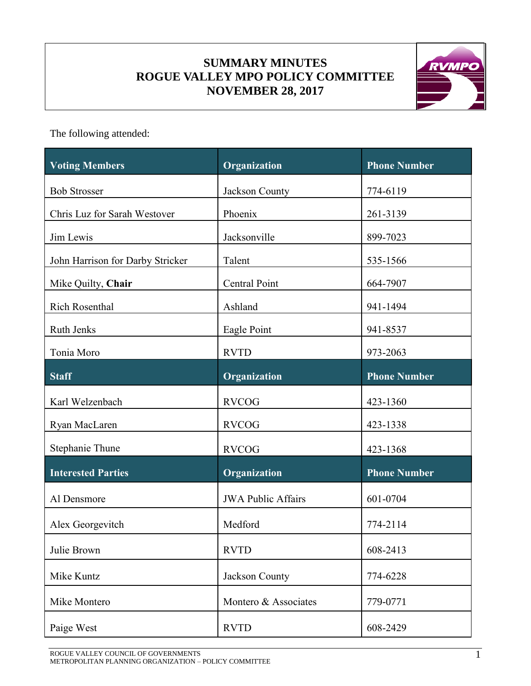# **SUMMARY MINUTES ROGUE VALLEY MPO POLICY COMMITTEE NOVEMBER 28, 2017**



The following attended:

| <b>Voting Members</b>            | Organization              | <b>Phone Number</b> |
|----------------------------------|---------------------------|---------------------|
| <b>Bob Strosser</b>              | Jackson County            | 774-6119            |
| Chris Luz for Sarah Westover     | Phoenix                   | 261-3139            |
| Jim Lewis                        | Jacksonville              | 899-7023            |
| John Harrison for Darby Stricker | Talent                    | 535-1566            |
| Mike Quilty, Chair               | <b>Central Point</b>      | 664-7907            |
| Rich Rosenthal                   | Ashland                   | 941-1494            |
| Ruth Jenks                       | Eagle Point               | 941-8537            |
| Tonia Moro                       | <b>RVTD</b>               | 973-2063            |
| <b>Staff</b>                     | Organization              | <b>Phone Number</b> |
| Karl Welzenbach                  | <b>RVCOG</b>              | 423-1360            |
| Ryan MacLaren                    | <b>RVCOG</b>              | 423-1338            |
| Stephanie Thune                  | <b>RVCOG</b>              | 423-1368            |
| <b>Interested Parties</b>        | Organization              | <b>Phone Number</b> |
| Al Densmore                      | <b>JWA Public Affairs</b> | 601-0704            |
| Alex Georgevitch                 | Medford                   | 774-2114            |
| Julie Brown                      | <b>RVTD</b>               | 608-2413            |
| Mike Kuntz                       | Jackson County            | 774-6228            |
| Mike Montero                     | Montero & Associates      | 779-0771            |
| Paige West                       | <b>RVTD</b>               | 608-2429            |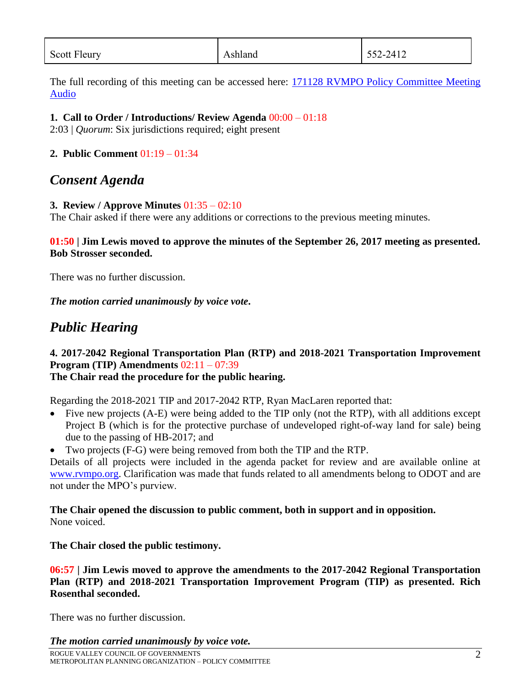| <b>Scott Fleury</b> | shland،<br>⊶ | 552-2412 |
|---------------------|--------------|----------|

The full recording of this meeting can be accessed here: 171128 [RVMPO Policy Committee Meeting](https://www.rvmpo.org/images/committees/policy-committee/2017/Audio_Files/2017-11-28_RVMPO%20PolComm_Audio%20File_C%20(mp3cut.net).MP3)  [Audio](https://www.rvmpo.org/images/committees/policy-committee/2017/Audio_Files/2017-11-28_RVMPO%20PolComm_Audio%20File_C%20(mp3cut.net).MP3)

#### **1. Call to Order / Introductions/ Review Agenda** 00:00 – 01:18

2:03 | *Quorum*: Six jurisdictions required; eight present

### **2. Public Comment** 01:19 – 01:34

# *Consent Agenda*

### **3. Review / Approve Minutes** 01:35 – 02:10

The Chair asked if there were any additions or corrections to the previous meeting minutes.

#### **01:50 | Jim Lewis moved to approve the minutes of the September 26, 2017 meeting as presented. Bob Strosser seconded.**

There was no further discussion.

*The motion carried unanimously by voice vote***.**

# *Public Hearing*

# **4. 2017-2042 Regional Transportation Plan (RTP) and 2018-2021 Transportation Improvement Program (TIP) Amendments** 02:11 – 07:39

# **The Chair read the procedure for the public hearing.**

Regarding the 2018-2021 TIP and 2017-2042 RTP, Ryan MacLaren reported that:

- Five new projects (A-E) were being added to the TIP only (not the RTP), with all additions except Project B (which is for the protective purchase of undeveloped right-of-way land for sale) being due to the passing of HB-2017; and
- Two projects (F-G) were being removed from both the TIP and the RTP.

Details of all projects were included in the agenda packet for review and are available online at [www.rvmpo.org.](http://www.rvmpo.org/) Clarification was made that funds related to all amendments belong to ODOT and are not under the MPO's purview.

#### **The Chair opened the discussion to public comment, both in support and in opposition.** None voiced.

# **The Chair closed the public testimony.**

### **06:57 | Jim Lewis moved to approve the amendments to the 2017-2042 Regional Transportation Plan (RTP) and 2018-2021 Transportation Improvement Program (TIP) as presented. Rich Rosenthal seconded.**

There was no further discussion.

#### *The motion carried unanimously by voice vote.*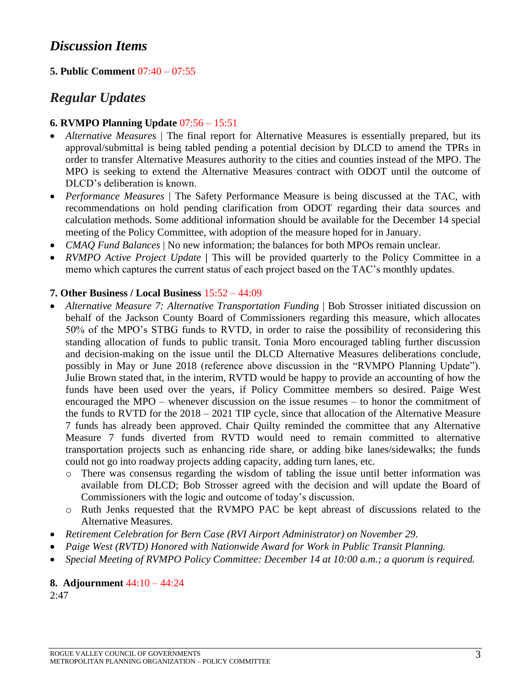# *Discussion Items*

## **5. Public Comment** 07:40 – 07:55

# *Regular Updates*

#### **6. RVMPO Planning Update** 07:56 – 15:51

- Alternative Measures | The final report for Alternative Measures is essentially prepared, but its approval/submittal is being tabled pending a potential decision by DLCD to amend the TPRs in order to transfer Alternative Measures authority to the cities and counties instead of the MPO. The MPO is seeking to extend the Alternative Measures contract with ODOT until the outcome of DLCD's deliberation is known.
- *Performance Measures* | The Safety Performance Measure is being discussed at the TAC, with recommendations on hold pending clarification from ODOT regarding their data sources and calculation methods. Some additional information should be available for the December 14 special meeting of the Policy Committee, with adoption of the measure hoped for in January.
- *CMAQ Fund Balances* | No new information; the balances for both MPOs remain unclear.
- *RVMPO Active Project Update* | This will be provided quarterly to the Policy Committee in a memo which captures the current status of each project based on the TAC's monthly updates.

#### **7. Other Business / Local Business** 15:52 – 44:09

- *Alternative Measure 7: Alternative Transportation Funding* | Bob Strosser initiated discussion on behalf of the Jackson County Board of Commissioners regarding this measure, which allocates 50% of the MPO's STBG funds to RVTD, in order to raise the possibility of reconsidering this standing allocation of funds to public transit. Tonia Moro encouraged tabling further discussion and decision-making on the issue until the DLCD Alternative Measures deliberations conclude, possibly in May or June 2018 (reference above discussion in the "RVMPO Planning Update"). Julie Brown stated that, in the interim, RVTD would be happy to provide an accounting of how the funds have been used over the years, if Policy Committee members so desired. Paige West encouraged the MPO – whenever discussion on the issue resumes – to honor the commitment of the funds to RVTD for the 2018 – 2021 TIP cycle, since that allocation of the Alternative Measure 7 funds has already been approved. Chair Quilty reminded the committee that any Alternative Measure 7 funds diverted from RVTD would need to remain committed to alternative transportation projects such as enhancing ride share, or adding bike lanes/sidewalks; the funds could not go into roadway projects adding capacity, adding turn lanes, etc.
	- o There was consensus regarding the wisdom of tabling the issue until better information was available from DLCD; Bob Strosser agreed with the decision and will update the Board of Commissioners with the logic and outcome of today's discussion.
	- o Ruth Jenks requested that the RVMPO PAC be kept abreast of discussions related to the Alternative Measures.
- *Retirement Celebration for Bern Case (RVI Airport Administrator) on November 29.*
- *Paige West (RVTD) Honored with Nationwide Award for Work in Public Transit Planning.*
- *Special Meeting of RVMPO Policy Committee: December 14 at 10:00 a.m.; a quorum is required.*

#### **8. Adjournment** 44:10 – 44:24

2:47